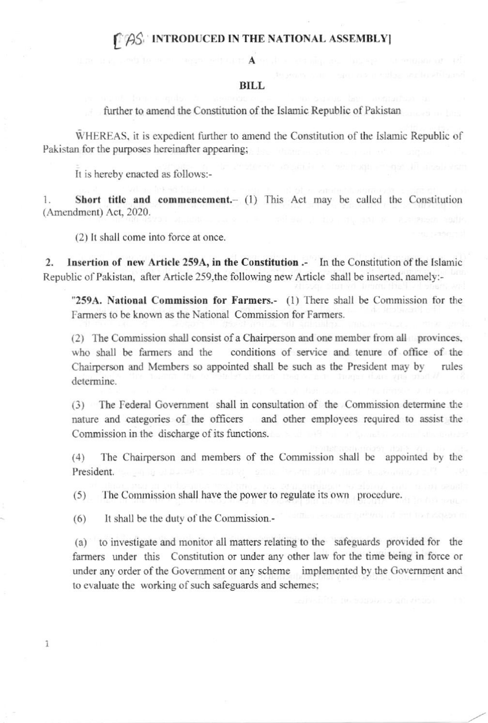## **CAS INTRODUCED IN THE NATIONAL ASSEMBLY**

#### **BILL**

further to amend the Constitution of the Islamic Republic of Pakistan

WHEREAS, it is expedient further to amend the Constitution of the Islamic Republic of Pakistan for the purposes hereinafter appearing;

It is hereby enacted as follows:-

Short title and commencement.- (1) This Act may be called the Constitution 1. (Amendment) Act, 2020.

(2) It shall come into force at once.

Insertion of new Article 259A, in the Constitution .- In the Constitution of the Islamic  $2.$ Republic of Pakistan, after Article 259, the following new Article shall be inserted, namely:-

"259A. National Commission for Farmers.- (1) There shall be Commission for the Farmers to be known as the National Commission for Farmers.

(2) The Commission shall consist of a Chairperson and one member from all provinces, who shall be farmers and the conditions of service and tenure of office of the Chairperson and Members so appointed shall be such as the President may by rules determine.

(3) The Federal Government shall in consultation of the Commission determine the and other employees required to assist the nature and categories of the officers Commission in the discharge of its functions.

 $(4)$ The Chairperson and members of the Commission shall be appointed by the President.

 $(5)$ The Commission shall have the power to regulate its own procedure.

It shall be the duty of the Commission.- $(6)$ 

 $\overline{1}$ 

(a) to investigate and monitor all matters relating to the safeguards provided for the farmers under this Constitution or under any other law for the time being in force or under any order of the Government or any scheme implemented by the Government and to evaluate the working of such safeguards and schemes;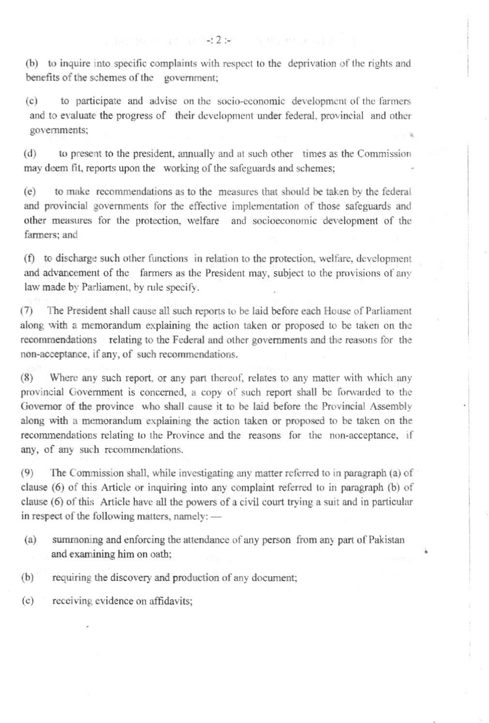(b) to inquire into specific complaints with respect to the deprivation of the rights and benefits of the schemes of the government;

to participate and advise on the socio-economic development of the farmers  $(c)$ and to evaluate the progress of their development under federal, provincial and other governments;

to present to the president, annually and at such other times as the Commission  $(d)$ may deem fit, reports upon the working of the safeguards and schemes;

to make recommendations as to the measures that should be taken by the federal  $(e)$ and provincial governments for the effective implementation of those safeguards and other measures for the protection, welfare and socioeconomic development of the farmers: and

(f) to discharge such other functions in relation to the protection, welfare, development and advancement of the farmers as the President may, subject to the provisions of any law made by Parliament, by rule specify.

 $(7)$ The President shall cause all such reports to be laid before each House of Parliament along with a memorandum explaining the action taken or proposed to be taken on the recommendations relating to the Federal and other governments and the reasons for the non-acceptance, if any, of such recommendations.

 $(8)$ Where any such report, or any part thereof, relates to any matter with which any provincial Government is concerned, a copy of such report shall be forwarded to the Governor of the province who shall cause it to be laid before the Provincial Assembly along with a memorandum explaining the action taken or proposed to be taken on the recommendations relating to the Province and the reasons for the non-acceptance, if any, of any such recommendations.

The Commission shall, while investigating any matter referred to in paragraph (a) of  $(9)$ clause (6) of this Article or inquiring into any complaint referred to in paragraph (b) of clause (6) of this Article have all the powers of a civil court trying a suit and in particular in respect of the following matters, namely: -

- $(a)$ summoning and enforcing the attendance of any person from any part of Pakistan and examining him on oath;
- $(b)$ requiring the discovery and production of any document;

 $(c)$ receiving evidence on affidavits;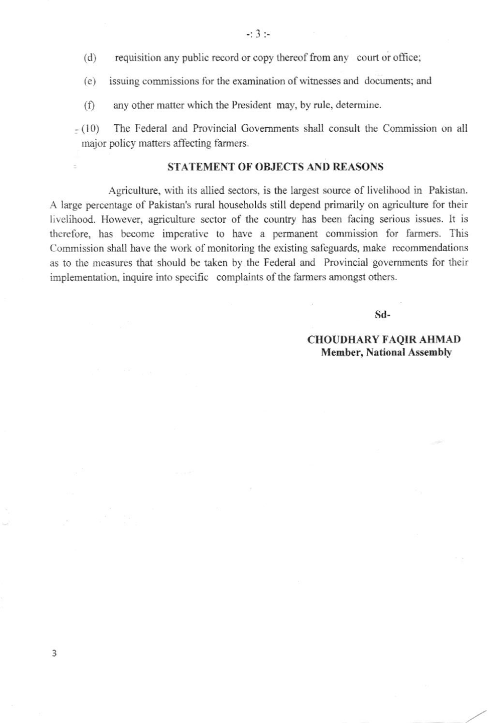- requisition any public record or copy thereof from any court or office;  $(d)$
- issuing commissions for the examination of witnesses and documents; and  $(e)$
- any other matter which the President may, by rule, determine.  $(f)$
- $-(10)$ The Federal and Provincial Governments shall consult the Commission on all major policy matters affecting farmers.

### **STATEMENT OF OBJECTS AND REASONS**

Agriculture, with its allied sectors, is the largest source of livelihood in Pakistan. A large percentage of Pakistan's rural households still depend primarily on agriculture for their livelihood. However, agriculture sector of the country has been facing serious issues. It is therefore, has become imperative to have a permanent commission for farmers. This Commission shall have the work of monitoring the existing safeguards, make recommendations as to the measures that should be taken by the Federal and Provincial governments for their implementation, inquire into specific complaints of the farmers amongst others.

Sd-

#### **CHOUDHARY FAQIR AHMAD Member, National Assembly**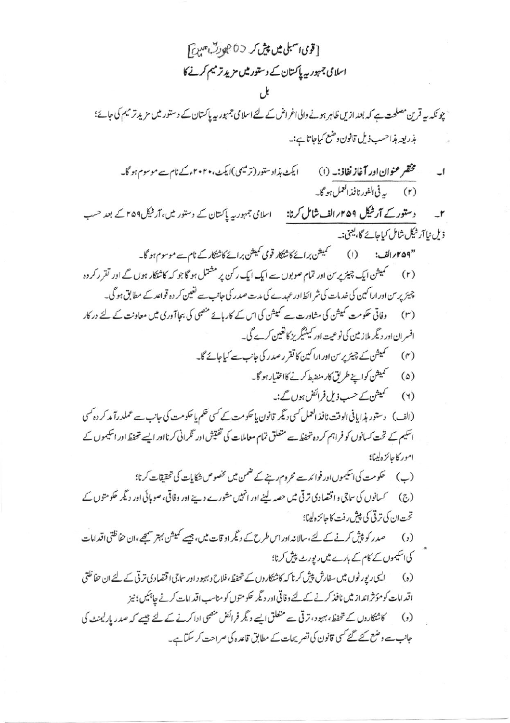$$
\begin{aligned} &\frac{1}{2} \int_{0}^{2} \int_{0}^{2} \int_{0}^{2} \int_{0}^{2} \int_{0}^{2} \int_{0}^{2} \int_{0}^{2} \int_{0}^{2} \int_{0}^{2} \int_{0}^{2} \int_{0}^{2} \int_{0}^{2} \int_{0}^{2} \int_{0}^{2} \int_{0}^{2} \int_{0}^{2} \int_{0}^{2} \int_{0}^{2} \int_{0}^{2} \int_{0}^{2} \int_{0}^{2} \int_{0}^{2} \int_{0}^{2} \int_{0}^{2} \int_{0}^{2} \int_{0}^{2} \int_{0}^{2} \int_{0}^{2} \int_{0}^{2} \int_{0}^{2} \int_{0}^{2} \int_{0}^{2} \int_{0}^{2} \int_{0}^{2} \int_{0}^{2} \int_{0}^{2} \int_{0}^{2} \int_{0}^{2} \int_{0}^{2} \int_{0}^{2} \int_{0}^{2} \int_{0}^{2} \int_{0}^{2} \int_{0}^{2} \int_{0}^{2} \int_{0}^{2} \int_{0}^{2} \int_{0}^{2} \int_{0}^{2} \int_{0}^{2} \int_{0}^{2} \int_{0}^{2} \int_{0}^{2} \int_{0}^{2} \int_{0}^{2} \int_{0}^{2} \int_{0}^{2} \int_{0}^{2} \int_{0}^{2} \int_{0}^{2} \int_{0}^{2} \int_{0}^{2} \int_{0}^{2} \int_{0}^{2} \int_{0}^{2} \int_{0}^{2} \int_{0}^{2} \int_{0}^{2} \int_{0}^{2} \int_{0}^{2} \int_{0}^{2} \int_{0}^{2} \int_{0}^{2} \int_{0}^{2} \int_{0}^{2} \int_{0}^{2} \int_{0}^{2} \int_{0}^{2} \int_{0}^{2} \int_{0}^{2} \int_{0}^{2} \int_{0}^{2} \int_{0}^{2} \int_{0}^{2} \int_{0}^{2} \int_{0}^{2} \int_{0}^{2} \int_{0}^{2} \int_{0}^{2} \int_{0}^{2} \int_{0}^{2} \int_{0}^{2} \int_{0}^{2} \int
$$